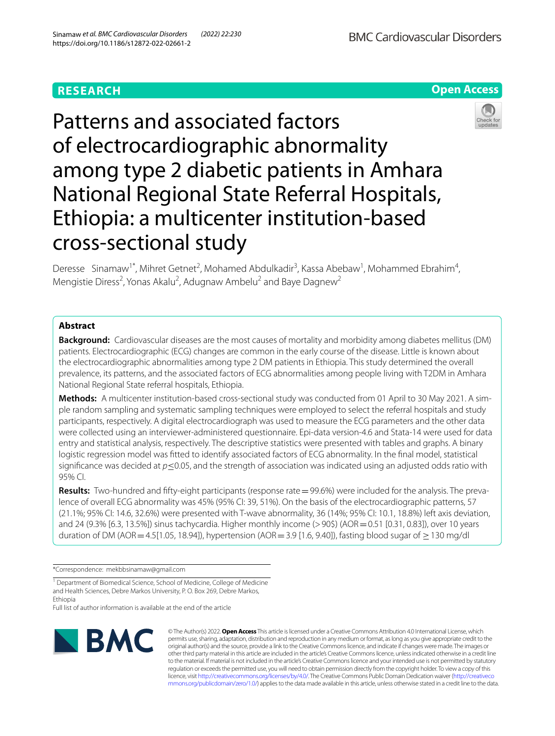# **RESEARCH**





Deresse Sinamaw<sup>1\*</sup>, Mihret Getnet<sup>2</sup>, Mohamed Abdulkadir<sup>3</sup>, Kassa Abebaw<sup>1</sup>, Mohammed Ebrahim<sup>4</sup>, Mengistie Diress<sup>2</sup>, Yonas Akalu<sup>2</sup>, Adugnaw Ambelu<sup>2</sup> and Baye Dagnew<sup>2</sup>

## **Abstract**

**Background:** Cardiovascular diseases are the most causes of mortality and morbidity among diabetes mellitus (DM) patients. Electrocardiographic (ECG) changes are common in the early course of the disease. Little is known about the electrocardiographic abnormalities among type 2 DM patients in Ethiopia. This study determined the overall prevalence, its patterns, and the associated factors of ECG abnormalities among people living with T2DM in Amhara National Regional State referral hospitals, Ethiopia.

**Methods:** A multicenter institution-based cross-sectional study was conducted from 01 April to 30 May 2021. A simple random sampling and systematic sampling techniques were employed to select the referral hospitals and study participants, respectively. A digital electrocardiograph was used to measure the ECG parameters and the other data were collected using an interviewer-administered questionnaire. Epi-data version-4.6 and Stata-14 were used for data entry and statistical analysis, respectively. The descriptive statistics were presented with tables and graphs. A binary logistic regression model was ftted to identify associated factors of ECG abnormality. In the fnal model, statistical signifcance was decided at *p*≤0.05, and the strength of association was indicated using an adjusted odds ratio with 95% CI.

**Results:** Two-hundred and ffty-eight participants (response rate=99.6%) were included for the analysis. The prevalence of overall ECG abnormality was 45% (95% CI: 39, 51%). On the basis of the electrocardiographic patterns, 57 (21.1%; 95% CI: 14.6, 32.6%) were presented with T-wave abnormality, 36 (14%; 95% CI: 10.1, 18.8%) left axis deviation, and 24 (9.3% [6.3, 13.5%]) sinus tachycardia. Higher monthly income (>90\$) (AOR = 0.51 [0.31, 0.83]), over 10 years duration of DM (AOR = 4.5[1.05, 18.94]), hypertension (AOR = 3.9 [1.6, 9.40]), fasting blood sugar of  $\geq$  130 mg/dl

\*Correspondence: mekbbsinamaw@gmail.com

<sup>1</sup> Department of Biomedical Science, School of Medicine, College of Medicine and Health Sciences, Debre Markos University, P. O. Box 269, Debre Markos, Ethiopia

Full list of author information is available at the end of the article



© The Author(s) 2022. **Open Access** This article is licensed under a Creative Commons Attribution 4.0 International License, which permits use, sharing, adaptation, distribution and reproduction in any medium or format, as long as you give appropriate credit to the original author(s) and the source, provide a link to the Creative Commons licence, and indicate if changes were made. The images or other third party material in this article are included in the article's Creative Commons licence, unless indicated otherwise in a credit line to the material. If material is not included in the article's Creative Commons licence and your intended use is not permitted by statutory regulation or exceeds the permitted use, you will need to obtain permission directly from the copyright holder. To view a copy of this licence, visit [http://creativecommons.org/licenses/by/4.0/.](http://creativecommons.org/licenses/by/4.0/) The Creative Commons Public Domain Dedication waiver ([http://creativeco](http://creativecommons.org/publicdomain/zero/1.0/) [mmons.org/publicdomain/zero/1.0/](http://creativecommons.org/publicdomain/zero/1.0/)) applies to the data made available in this article, unless otherwise stated in a credit line to the data.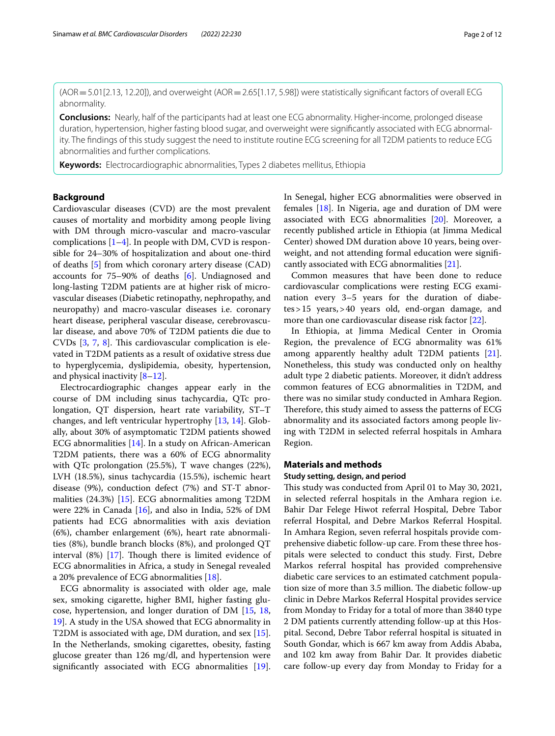$(AOR = 5.01[2.13, 12.20])$ , and overweight  $(AOR = 2.65[1.17, 5.98])$  were statistically significant factors of overall ECG abnormality.

**Conclusions:** Nearly, half of the participants had at least one ECG abnormality. Higher-income, prolonged disease duration, hypertension, higher fasting blood sugar, and overweight were signifcantly associated with ECG abnormality. The fndings of this study suggest the need to institute routine ECG screening for all T2DM patients to reduce ECG abnormalities and further complications.

**Keywords:** Electrocardiographic abnormalities, Types 2 diabetes mellitus, Ethiopia

## **Background**

Cardiovascular diseases (CVD) are the most prevalent causes of mortality and morbidity among people living with DM through micro-vascular and macro-vascular complications  $[1-4]$  $[1-4]$  $[1-4]$ . In people with DM, CVD is responsible for 24–30% of hospitalization and about one-third of deaths [[5\]](#page-10-2) from which coronary artery disease (CAD) accounts for 75–90% of deaths [[6\]](#page-10-3). Undiagnosed and long-lasting T2DM patients are at higher risk of microvascular diseases (Diabetic retinopathy, nephropathy, and neuropathy) and macro-vascular diseases i.e. coronary heart disease, peripheral vascular disease, cerebrovascular disease, and above 70% of T2DM patients die due to CVDs  $[3, 7, 8]$  $[3, 7, 8]$  $[3, 7, 8]$  $[3, 7, 8]$  $[3, 7, 8]$  $[3, 7, 8]$  $[3, 7, 8]$ . This cardiovascular complication is elevated in T2DM patients as a result of oxidative stress due to hyperglycemia, dyslipidemia, obesity, hypertension, and physical inactivity  $[8-12]$  $[8-12]$ .

Electrocardiographic changes appear early in the course of DM including sinus tachycardia, QTc prolongation, QT dispersion, heart rate variability, ST–T changes, and left ventricular hypertrophy [[13](#page-10-8), [14](#page-10-9)]. Globally, about 30% of asymptomatic T2DM patients showed ECG abnormalities [[14\]](#page-10-9). In a study on African-American T2DM patients, there was a 60% of ECG abnormality with QTc prolongation (25.5%), T wave changes (22%), LVH (18.5%), sinus tachycardia (15.5%), ischemic heart disease (9%), conduction defect (7%) and ST-T abnormalities (24.3%) [\[15](#page-10-10)]. ECG abnormalities among T2DM were 22% in Canada [\[16](#page-10-11)], and also in India, 52% of DM patients had ECG abnormalities with axis deviation (6%), chamber enlargement (6%), heart rate abnormalities (8%), bundle branch blocks (8%), and prolonged QT interval  $(8\%)$  [[17\]](#page-10-12). Though there is limited evidence of ECG abnormalities in Africa, a study in Senegal revealed a 20% prevalence of ECG abnormalities [[18](#page-10-13)].

ECG abnormality is associated with older age, male sex, smoking cigarette, higher BMI, higher fasting glucose, hypertension, and longer duration of DM [[15,](#page-10-10) [18](#page-10-13), [19\]](#page-10-14). A study in the USA showed that ECG abnormality in T2DM is associated with age, DM duration, and sex [\[15](#page-10-10)]. In the Netherlands, smoking cigarettes, obesity, fasting glucose greater than 126 mg/dl, and hypertension were signifcantly associated with ECG abnormalities [\[19](#page-10-14)]. In Senegal, higher ECG abnormalities were observed in females [[18\]](#page-10-13). In Nigeria, age and duration of DM were associated with ECG abnormalities [[20\]](#page-10-15). Moreover, a recently published article in Ethiopia (at Jimma Medical Center) showed DM duration above 10 years, being overweight, and not attending formal education were signifcantly associated with ECG abnormalities [\[21\]](#page-10-16).

Common measures that have been done to reduce cardiovascular complications were resting ECG examination every 3–5 years for the duration of diabetes>15 years,>40 years old, end-organ damage, and more than one cardiovascular disease risk factor [\[22\]](#page-10-17).

In Ethiopia, at Jimma Medical Center in Oromia Region, the prevalence of ECG abnormality was 61% among apparently healthy adult T2DM patients [\[21](#page-10-16)]. Nonetheless, this study was conducted only on healthy adult type 2 diabetic patients. Moreover, it didn't address common features of ECG abnormalities in T2DM, and there was no similar study conducted in Amhara Region. Therefore, this study aimed to assess the patterns of ECG abnormality and its associated factors among people living with T2DM in selected referral hospitals in Amhara Region.

### **Materials and methods**

## **Study setting, design, and period**

This study was conducted from April 01 to May 30, 2021, in selected referral hospitals in the Amhara region i.e. Bahir Dar Felege Hiwot referral Hospital, Debre Tabor referral Hospital, and Debre Markos Referral Hospital. In Amhara Region, seven referral hospitals provide comprehensive diabetic follow-up care. From these three hospitals were selected to conduct this study. First, Debre Markos referral hospital has provided comprehensive diabetic care services to an estimated catchment population size of more than 3.5 million. The diabetic follow-up clinic in Debre Markos Referral Hospital provides service from Monday to Friday for a total of more than 3840 type 2 DM patients currently attending follow-up at this Hospital. Second, Debre Tabor referral hospital is situated in South Gondar, which is 667 km away from Addis Ababa, and 102 km away from Bahir Dar. It provides diabetic care follow-up every day from Monday to Friday for a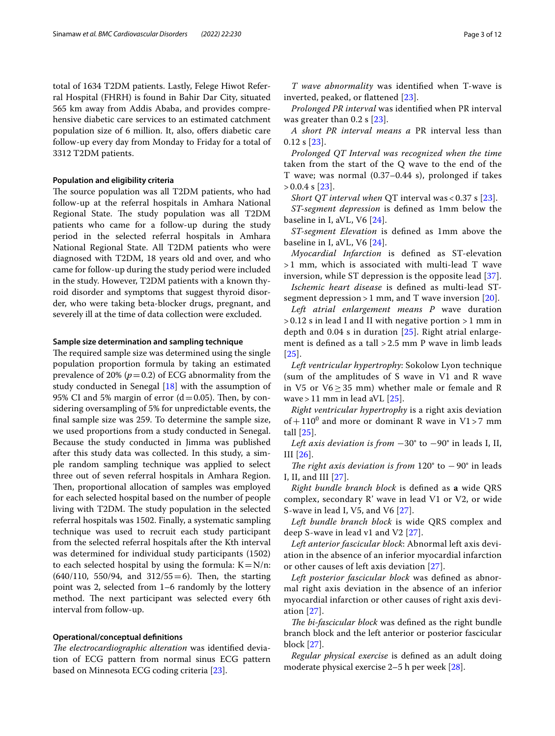total of 1634 T2DM patients. Lastly, Felege Hiwot Referral Hospital (FHRH) is found in Bahir Dar City, situated 565 km away from Addis Ababa, and provides comprehensive diabetic care services to an estimated catchment population size of 6 million. It, also, offers diabetic care follow-up every day from Monday to Friday for a total of 3312 T2DM patients.

#### **Population and eligibility criteria**

The source population was all T2DM patients, who had follow-up at the referral hospitals in Amhara National Regional State. The study population was all T2DM patients who came for a follow-up during the study period in the selected referral hospitals in Amhara National Regional State. All T2DM patients who were diagnosed with T2DM, 18 years old and over, and who came for follow-up during the study period were included in the study. However, T2DM patients with a known thyroid disorder and symptoms that suggest thyroid disorder, who were taking beta-blocker drugs, pregnant, and severely ill at the time of data collection were excluded.

### **Sample size determination and sampling technique**

The required sample size was determined using the single population proportion formula by taking an estimated prevalence of 20%  $(p=0.2)$  of ECG abnormality from the study conducted in Senegal [[18](#page-10-13)] with the assumption of 95% CI and 5% margin of error  $(d=0.05)$ . Then, by considering oversampling of 5% for unpredictable events, the fnal sample size was 259. To determine the sample size, we used proportions from a study conducted in Senegal. Because the study conducted in Jimma was published after this study data was collected. In this study, a simple random sampling technique was applied to select three out of seven referral hospitals in Amhara Region. Then, proportional allocation of samples was employed for each selected hospital based on the number of people living with T2DM. The study population in the selected referral hospitals was 1502. Finally, a systematic sampling technique was used to recruit each study participant from the selected referral hospitals after the Kth interval was determined for individual study participants (1502) to each selected hospital by using the formula:  $K = N/n$ :  $(640/110, 550/94, and 312/55=6)$ . Then, the starting point was 2, selected from 1–6 randomly by the lottery method. The next participant was selected every 6th interval from follow-up.

## **Operational/conceptual defnitions**

*The electrocardiographic alteration* was identified deviation of ECG pattern from normal sinus ECG pattern based on Minnesota ECG coding criteria [[23\]](#page-10-18).

*T wave abnormality* was identifed when T-wave is inverted, peaked, or fattened [[23\]](#page-10-18).

*Prolonged PR interval* was identifed when PR interval was greater than 0.2 s [\[23](#page-10-18)].

*A short PR interval means a* PR interval less than 0.12 s [\[23\]](#page-10-18).

*Prolonged QT Interval was recognized when the time* taken from the start of the Q wave to the end of the T wave; was normal (0.37–0.44 s), prolonged if takes  $> 0.0.4$  s [[23\]](#page-10-18).

*Short QT interval when* QT interval was < 0.37 s [[23\]](#page-10-18).

*ST-segment depression* is defned as 1mm below the baseline in I, aVL, V6 [[24\]](#page-10-19).

*ST-segment Elevation* is defned as 1mm above the baseline in I, aVL, V6 [[24\]](#page-10-19).

*Myocardial Infarction* is defned as ST-elevation > 1 mm, which is associated with multi-lead T wave inversion, while ST depression is the opposite lead [[37\]](#page-10-20).

*Ischemic heart disease* is defned as multi-lead STsegment depression  $> 1$  mm, and T wave inversion [[20\]](#page-10-15).

*Left atrial enlargement means P* wave duration  $> 0.12$  s in lead I and II with negative portion  $> 1$  mm in depth and 0.04 s in duration [[25\]](#page-10-21). Right atrial enlargement is defned as a tall > 2.5 mm P wave in limb leads [[25](#page-10-21)].

*Left ventricular hypertrophy*: Sokolow Lyon technique (sum of the amplitudes of S wave in V1 and R wave in V5 or  $V6 \geq 35$  mm) whether male or female and R wave  $>$  11 mm in lead aVL [\[25\]](#page-10-21).

*Right ventricular hypertrophy* is a right axis deviation of +  $110^0$  and more or dominant R wave in V1 > 7 mm tall [[25](#page-10-21)].

*Left axis deviation is from* −30° to −90° in leads I, II, III [[26\]](#page-10-22).

*The right axis deviation is from* 120° to −90° in leads I, II, and III [[27](#page-10-23)].

*Right bundle branch block* is defned as **a** wide QRS complex, secondary R' wave in lead V1 or V2, or wide S-wave in lead I, V5, and V6 [[27](#page-10-23)].

*Left bundle branch block* is wide QRS complex and deep S-wave in lead v1 and V2 [[27\]](#page-10-23).

*Left anterior fascicular block*: Abnormal left axis deviation in the absence of an inferior myocardial infarction or other causes of left axis deviation [\[27](#page-10-23)].

*Left posterior fascicular block* was defned as abnormal right axis deviation in the absence of an inferior myocardial infarction or other causes of right axis deviation [[27](#page-10-23)].

*The bi-fascicular block* was defined as the right bundle branch block and the left anterior or posterior fascicular block [\[27](#page-10-23)].

*Regular physical exercise* is defned as an adult doing moderate physical exercise 2–5 h per week [\[28](#page-10-24)].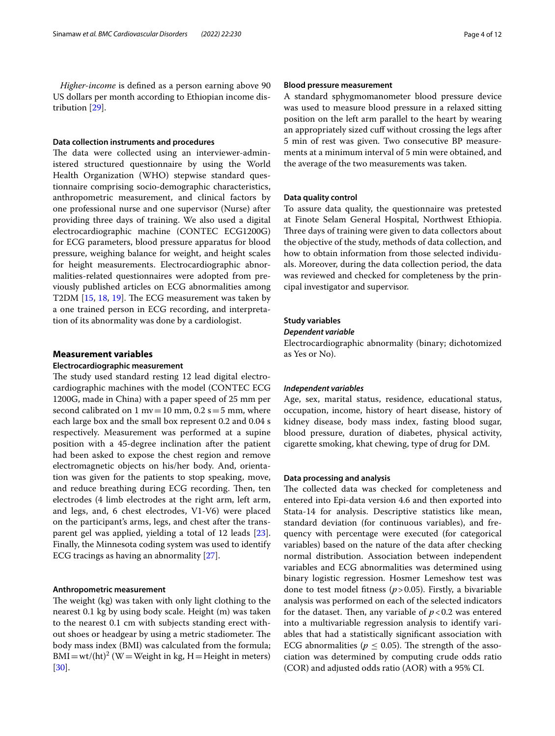*Higher-income* is defned as a person earning above 90 US dollars per month according to Ethiopian income distribution [[29\]](#page-10-25).

### **Data collection instruments and procedures**

The data were collected using an interviewer-administered structured questionnaire by using the World Health Organization (WHO) stepwise standard questionnaire comprising socio-demographic characteristics, anthropometric measurement, and clinical factors by one professional nurse and one supervisor (Nurse) after providing three days of training. We also used a digital electrocardiographic machine (CONTEC ECG1200G) for ECG parameters, blood pressure apparatus for blood pressure, weighing balance for weight, and height scales for height measurements. Electrocardiographic abnormalities-related questionnaires were adopted from previously published articles on ECG abnormalities among T2DM  $[15, 18, 19]$  $[15, 18, 19]$  $[15, 18, 19]$  $[15, 18, 19]$  $[15, 18, 19]$ . The ECG measurement was taken by a one trained person in ECG recording, and interpretation of its abnormality was done by a cardiologist.

## **Measurement variables**

#### **Electrocardiographic measurement**

The study used standard resting 12 lead digital electrocardiographic machines with the model (CONTEC ECG 1200G, made in China) with a paper speed of 25 mm per second calibrated on 1 mv = 10 mm,  $0.2$  s = 5 mm, where each large box and the small box represent 0.2 and 0.04 s respectively. Measurement was performed at a supine position with a 45-degree inclination after the patient had been asked to expose the chest region and remove electromagnetic objects on his/her body. And, orientation was given for the patients to stop speaking, move, and reduce breathing during ECG recording. Then, ten electrodes (4 limb electrodes at the right arm, left arm, and legs, and, 6 chest electrodes, V1-V6) were placed on the participant's arms, legs, and chest after the transparent gel was applied, yielding a total of 12 leads [\[23](#page-10-18)]. Finally, the Minnesota coding system was used to identify ECG tracings as having an abnormality [\[27\]](#page-10-23).

### **Anthropometric measurement**

The weight (kg) was taken with only light clothing to the nearest 0.1 kg by using body scale. Height (m) was taken to the nearest 0.1 cm with subjects standing erect without shoes or headgear by using a metric stadiometer. The body mass index (BMI) was calculated from the formula;  $\text{BMI} = \text{wt} / (\text{ht})^2$  (W = Weight in kg, H = Height in meters) [[30\]](#page-10-26).

### **Blood pressure measurement**

A standard sphygmomanometer blood pressure device was used to measure blood pressure in a relaxed sitting position on the left arm parallel to the heart by wearing an appropriately sized cuff without crossing the legs after 5 min of rest was given. Two consecutive BP measurements at a minimum interval of 5 min were obtained, and the average of the two measurements was taken.

#### **Data quality control**

To assure data quality, the questionnaire was pretested at Finote Selam General Hospital, Northwest Ethiopia. Three days of training were given to data collectors about the objective of the study, methods of data collection, and how to obtain information from those selected individuals. Moreover, during the data collection period, the data was reviewed and checked for completeness by the principal investigator and supervisor.

## **Study variables**

#### *Dependent variable*

Electrocardiographic abnormality (binary; dichotomized as Yes or No).

#### *Independent variables*

Age, sex, marital status, residence, educational status, occupation, income, history of heart disease, history of kidney disease, body mass index, fasting blood sugar, blood pressure, duration of diabetes, physical activity, cigarette smoking, khat chewing, type of drug for DM.

### **Data processing and analysis**

The collected data was checked for completeness and entered into Epi-data version 4.6 and then exported into Stata-14 for analysis. Descriptive statistics like mean, standard deviation (for continuous variables), and frequency with percentage were executed (for categorical variables) based on the nature of the data after checking normal distribution. Association between independent variables and ECG abnormalities was determined using binary logistic regression. Hosmer Lemeshow test was done to test model ftness (*p*>0.05). Firstly, a bivariable analysis was performed on each of the selected indicators for the dataset. Then, any variable of  $p < 0.2$  was entered into a multivariable regression analysis to identify variables that had a statistically signifcant association with ECG abnormalities ( $p \leq 0.05$ ). The strength of the association was determined by computing crude odds ratio (COR) and adjusted odds ratio (AOR) with a 95% CI.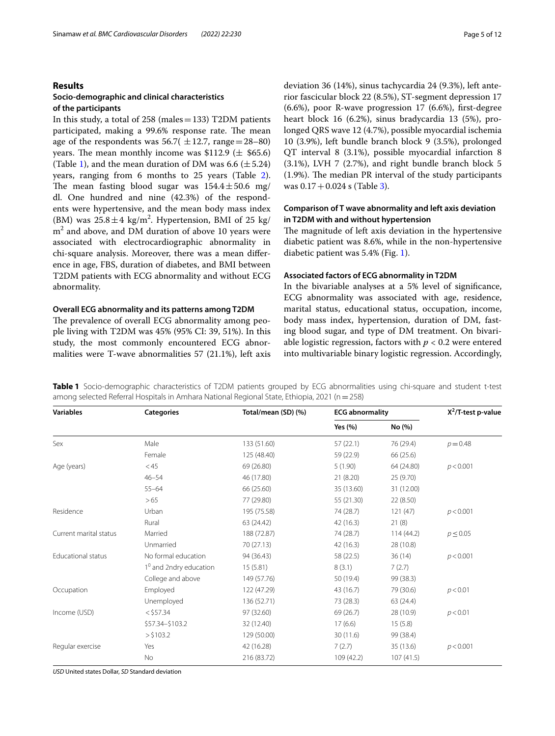## **Results**

## **Socio‑demographic and clinical characteristics of the participants**

In this study, a total of 258 (males=133) T2DM patients participated, making a 99.6% response rate. The mean age of the respondents was  $56.7(\pm 12.7, \text{ range}=28-80)$ years. The mean monthly income was  $$112.9 \ (\pm \ $65.6)$ (Table [1\)](#page-4-0), and the mean duration of DM was 6.6 ( $\pm$  5.24) years, ranging from 6 months to 25 years (Table [2](#page-5-0)). The mean fasting blood sugar was  $154.4 \pm 50.6$  mg/ dl. One hundred and nine (42.3%) of the respondents were hypertensive, and the mean body mass index (BM) was  $25.8 \pm 4$  kg/m<sup>2</sup>. Hypertension, BMI of 25 kg/  $\text{m}^2$  and above, and DM duration of above 10 years were associated with electrocardiographic abnormality in chi-square analysis. Moreover, there was a mean diference in age, FBS, duration of diabetes, and BMI between T2DM patients with ECG abnormality and without ECG abnormality.

## **Overall ECG abnormality and its patterns among T2DM**

The prevalence of overall ECG abnormality among people living with T2DM was 45% (95% CI: 39, 51%). In this study, the most commonly encountered ECG abnormalities were T-wave abnormalities 57 (21.1%), left axis deviation 36 (14%), sinus tachycardia 24 (9.3%), left anterior fascicular block 22 (8.5%), ST-segment depression 17 (6.6%), poor R-wave progression 17 (6.6%), frst-degree heart block 16 (6.2%), sinus bradycardia 13 (5%), prolonged QRS wave 12 (4.7%), possible myocardial ischemia 10 (3.9%), left bundle branch block 9 (3.5%), prolonged QT interval 8 (3.1%), possible myocardial infarction 8 (3.1%), LVH 7 (2.7%), and right bundle branch block 5  $(1.9\%)$ . The median PR interval of the study participants was  $0.17 + 0.024$  s (Table [3\)](#page-6-0).

## **Comparison of T wave abnormality and left axis deviation in T2DM with and without hypertension**

The magnitude of left axis deviation in the hypertensive diabetic patient was 8.6%, while in the non-hypertensive diabetic patient was 5.4% (Fig. [1\)](#page-7-0).

### **Associated factors of ECG abnormality in T2DM**

In the bivariable analyses at a 5% level of signifcance, ECG abnormality was associated with age, residence, marital status, educational status, occupation, income, body mass index, hypertension, duration of DM, fasting blood sugar, and type of DM treatment. On bivariable logistic regression, factors with *p* < 0.2 were entered into multivariable binary logistic regression. Accordingly,

<span id="page-4-0"></span>**Table 1** Socio-demographic characteristics of T2DM patients grouped by ECG abnormalities using chi-square and student t-test among selected Referral Hospitals in Amhara National Regional State, Ethiopia, 2021 (n=258)

| <b>Variables</b>          | <b>Categories</b>        | Total/mean (SD) (%) | <b>ECG abnormality</b> |            | $X^2$ /T-test p-value |
|---------------------------|--------------------------|---------------------|------------------------|------------|-----------------------|
|                           |                          |                     | Yes (%)                | No (%)     |                       |
| Sex                       | Male                     | 133 (51.60)         | 57(22.1)               | 76 (29.4)  | $p = 0.48$            |
|                           | Female                   | 125 (48.40)         | 59 (22.9)              | 66 (25.6)  |                       |
| Age (years)               | < 45                     | 69 (26.80)          | 5(1.90)                | 64 (24.80) | p < 0.001             |
|                           | $46 - 54$                | 46 (17.80)          | 21(8.20)               | 25 (9.70)  |                       |
|                           | $55 - 64$                | 66 (25.60)          | 35 (13.60)             | 31 (12.00) |                       |
|                           | >65                      | 77 (29.80)          | 55 (21.30)             | 22 (8.50)  |                       |
| Residence                 | Urban                    | 195 (75.58)         | 74 (28.7)              | 121(47)    | p < 0.001             |
|                           | Rural                    | 63 (24.42)          | 42(16.3)               | 21(8)      |                       |
| Current marital status    | Married                  | 188 (72.87)         | 74 (28.7)              | 114(44.2)  | $p \le 0.05$          |
|                           | Unmarried                | 70 (27.13)          | 42(16.3)               | 28 (10.8)  |                       |
| <b>Educational status</b> | No formal education      | 94 (36.43)          | 58 (22.5)              | 36(14)     | p < 0.001             |
|                           | $10$ and 2ndry education | 15(5.81)            | 8(3.1)                 | 7(2.7)     |                       |
|                           | College and above        | 149 (57.76)         | 50 (19.4)              | 99 (38.3)  |                       |
| Occupation                | Employed                 | 122 (47.29)         | 43 (16.7)              | 79 (30.6)  | p < 0.01              |
|                           | Unemployed               | 136 (52.71)         | 73 (28.3)              | 63 (24.4)  |                       |
| Income (USD)              | $<$ \$57.34              | 97 (32.60)          | 69 (26.7)              | 28 (10.9)  | p < 0.01              |
|                           | \$57.34-\$103.2          | 32 (12.40)          | 17(6.6)                | 15(5.8)    |                       |
|                           | $>$ \$103.2              | 129 (50.00)         | 30(11.6)               | 99 (38.4)  |                       |
| Regular exercise          | Yes                      | 42 (16.28)          | 7(2.7)                 | 35 (13.6)  | p < 0.001             |
|                           | No                       | 216 (83.72)         | 109 (42.2)             | 107(41.5)  |                       |
|                           |                          |                     |                        |            |                       |

*USD* United states Dollar, *SD* Standard deviation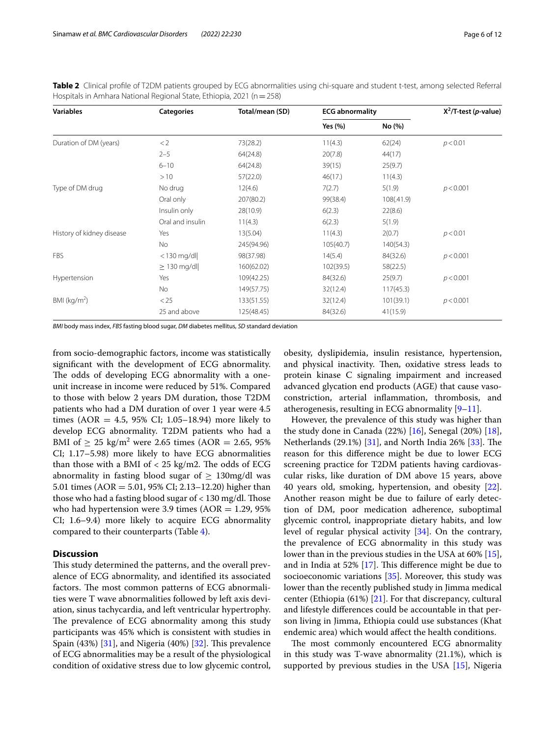<span id="page-5-0"></span>**Table 2** Clinical profle of T2DM patients grouped by ECG abnormalities using chi-square and student t-test, among selected Referral Hospitals in Amhara National Regional State, Ethiopia, 2021 (n=258)

| <b>Variables</b>          | <b>Categories</b> | Total/mean (SD) | <b>ECG abnormality</b> |            | $X^2$ /T-test ( <i>p</i> -value) |
|---------------------------|-------------------|-----------------|------------------------|------------|----------------------------------|
|                           |                   |                 | Yes (%)                | No (%)     |                                  |
| Duration of DM (years)    | < 2               | 73(28.2)        | 11(4.3)                | 62(24)     | p < 0.01                         |
|                           | $2 - 5$           | 64(24.8)        | 20(7.8)                | 44(17)     |                                  |
|                           | $6 - 10$          | 64(24.8)        | 39(15)                 | 25(9.7)    |                                  |
|                           | >10               | 57(22.0)        | 46(17)                 | 11(4.3)    |                                  |
| Type of DM drug           | No drug           | 12(4.6)         | 7(2.7)                 | 5(1.9)     | p < 0.001                        |
|                           | Oral only         | 207(80.2)       | 99(38.4)               | 108(.41.9) |                                  |
|                           | Insulin only      | 28(10.9)        | 6(2.3)                 | 22(8.6)    |                                  |
|                           | Oral and insulin  | 11(4.3)         | 6(2.3)                 | 5(1.9)     |                                  |
| History of kidney disease | Yes               | 13(5.04)        | 11(4.3)                | 2(0.7)     | p < 0.01                         |
|                           | <b>No</b>         | 245(94.96)      | 105(40.7)              | 140(54.3)  |                                  |
| <b>FBS</b>                | $<$ 130 mg/dl     | 98(37.98)       | 14(5.4)                | 84(32.6)   | p < 0.001                        |
|                           | $\geq$ 130 mg/dl  | 160(62.02)      | 102(39.5)              | 58(22.5)   |                                  |
| Hypertension              | Yes               | 109(42.25)      | 84(32.6)               | 25(9.7)    | p < 0.001                        |
|                           | No                | 149(57.75)      | 32(12.4)               | 117(45.3)  |                                  |
| BMI ( $kg/m2$ )           | < 25              | 133(51.55)      | 32(12.4)               | 101(39.1)  | p < 0.001                        |
|                           | 25 and above      | 125(48.45)      | 84(32.6)               | 41(15.9)   |                                  |

*BMI* body mass index, *FBS* fasting blood sugar, *DM* diabetes mellitus, *SD* standard deviation

from socio-demographic factors, income was statistically signifcant with the development of ECG abnormality. The odds of developing ECG abnormality with a oneunit increase in income were reduced by 51%. Compared to those with below 2 years DM duration, those T2DM patients who had a DM duration of over 1 year were 4.5 times (AOR = 4.5, 95% CI; 1.05–18.94) more likely to develop ECG abnormality. T2DM patients who had a BMI of  $\geq 25 \text{ kg/m}^2$  were 2.65 times (AOR = 2.65, 95%) CI; 1.17–5.98) more likely to have ECG abnormalities than those with a BMI of  $<$  25 kg/m2. The odds of ECG abnormality in fasting blood sugar of  $\geq 130$ mg/dl was 5.01 times (AOR = 5.01, 95% CI; 2.13–12.20) higher than those who had a fasting blood sugar of  $<$  130 mg/dl. Those who had hypertension were 3.9 times  $(AOR = 1.29, 95\%)$ CI; 1.6–9.4) more likely to acquire ECG abnormality compared to their counterparts (Table [4](#page-8-0)).

### **Discussion**

This study determined the patterns, and the overall prevalence of ECG abnormality, and identifed its associated factors. The most common patterns of ECG abnormalities were T wave abnormalities followed by left axis deviation, sinus tachycardia, and left ventricular hypertrophy. The prevalence of ECG abnormality among this study participants was 45% which is consistent with studies in Spain (43%)  $[31]$ , and Nigeria (40%)  $[32]$  $[32]$  $[32]$ . This prevalence of ECG abnormalities may be a result of the physiological condition of oxidative stress due to low glycemic control, obesity, dyslipidemia, insulin resistance, hypertension, and physical inactivity. Then, oxidative stress leads to protein kinase C signaling impairment and increased advanced glycation end products (AGE) that cause vasoconstriction, arterial infammation, thrombosis, and atherogenesis, resulting in ECG abnormality  $[9-11]$  $[9-11]$ .

However, the prevalence of this study was higher than the study done in Canada  $(22%)$  [\[16\]](#page-10-11), Senegal  $(20%)$  [\[18](#page-10-13)], Netherlands (29.1%) [\[31](#page-10-27)], and North India 26% [\[33\]](#page-10-31). The reason for this diference might be due to lower ECG screening practice for T2DM patients having cardiovascular risks, like duration of DM above 15 years, above 40 years old, smoking, hypertension, and obesity [\[22](#page-10-17)]. Another reason might be due to failure of early detection of DM, poor medication adherence, suboptimal glycemic control, inappropriate dietary habits, and low level of regular physical activity [[34\]](#page-10-32). On the contrary, the prevalence of ECG abnormality in this study was lower than in the previous studies in the USA at 60% [\[15](#page-10-10)], and in India at 52%  $[17]$  $[17]$ . This difference might be due to socioeconomic variations [\[35\]](#page-10-33). Moreover, this study was lower than the recently published study in Jimma medical center (Ethiopia  $(61%)$  [\[21](#page-10-16)]. For that discrepancy, cultural and lifestyle diferences could be accountable in that person living in Jimma, Ethiopia could use substances (Khat endemic area) which would afect the health conditions.

The most commonly encountered ECG abnormality in this study was T-wave abnormality (21.1%), which is supported by previous studies in the USA  $[15]$  $[15]$ , Nigeria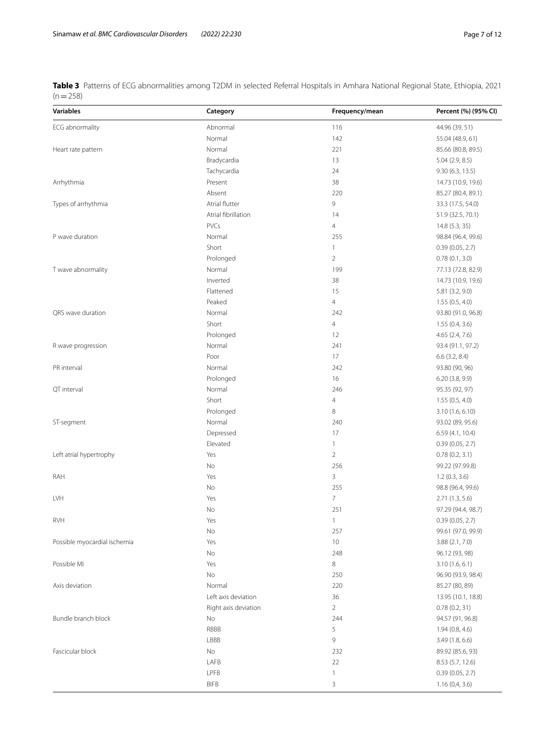<span id="page-6-0"></span>**Table 3** Patterns of ECG abnormalities among T2DM in selected Referral Hospitals in Amhara National Regional State, Ethiopia, 2021  $(n=258)$ 

| <b>Variables</b>             | Category             | Frequency/mean | Percent (%) (95% CI) |
|------------------------------|----------------------|----------------|----------------------|
| ECG abnormality              | Abnormal             | 116            | 44.96 (39, 51)       |
|                              | Normal               | 142            | 55.04 (48.9, 61)     |
| Heart rate pattern           | Normal               | 221            | 85.66 (80.8, 89.5)   |
|                              | Bradycardia          | 13             | 5.04(2.9, 8.5)       |
|                              | Tachycardia          | 24             | 9.30 (6.3, 13.5)     |
| Arrhythmia                   | Present              | 38             | 14.73 (10.9, 19.6)   |
|                              | Absent               | 220            | 85.27 (80.4, 89.1)   |
| Types of arrhythmia          | Atrial flutter       | 9              | 33.3 (17.5, 54.0)    |
|                              | Atrial fibrillation  | 14             | 51.9 (32.5, 70.1)    |
|                              | <b>PVCs</b>          | $\overline{4}$ | 14.8 (5.3, 35)       |
| P wave duration              | Normal               | 255            | 98.84 (96.4, 99.6)   |
|                              | Short                | $\mathbf{1}$   | 0.39(0.05, 2.7)      |
|                              | Prolonged            | $\overline{2}$ | 0.78(0.1, 3.0)       |
| T wave abnormality           | Normal               | 199            | 77.13 (72.8, 82.9)   |
|                              | Inverted             | 38             | 14.73 (10.9, 19.6)   |
|                              | Flattened            | 15             | 5.81(3.2, 9.0)       |
|                              | Peaked               | $\overline{4}$ | 1.55(0.5, 4.0)       |
| QRS wave duration            | Normal               | 242            | 93.80 (91.0, 96.8)   |
|                              | Short                | $\overline{4}$ | 1.55(0.4, 3.6)       |
|                              | Prolonged            | 12             | 4.65 (2.4, 7.6)      |
| R wave progression           | Normal               | 241            | 93.4 (91.1, 97.2)    |
|                              | Poor                 | 17             | $6.6$ (3.2, 8.4)     |
| PR interval                  | Normal               | 242            | 93.80 (90, 96)       |
|                              | Prolonged            | 16             | 6.20 (3.8, 9.9)      |
| QT interval                  | Normal               | 246            | 95.35 (92, 97)       |
|                              | Short                | $\overline{4}$ | 1.55(0.5, 4.0)       |
|                              | Prolonged            | 8              | 3.10(1.6, 6.10)      |
| ST-segment                   | Normal               | 240            | 93.02 (89, 95.6)     |
|                              | Depressed            | 17             | 6.59 (4.1, 10.4)     |
|                              | Elevated             | $\mathbf{1}$   | 0.39(0.05, 2.7)      |
| Left atrial hypertrophy      | Yes                  | $\overline{2}$ | 0.78(0.2, 3.1)       |
|                              | No                   | 256            | 99.22 (97.99.8)      |
| RAH                          | Yes                  | $\overline{3}$ | 1.2(0.3, 3.6)        |
|                              | No                   | 255            | 98.8 (96.4, 99.6)    |
| LVH                          | Yes                  | $\overline{7}$ | 2.71 (1.3, 5.6)      |
|                              | No                   | 251            | 97.29 (94.4, 98.7)   |
| <b>RVH</b>                   | Yes                  | $\mathbf{1}$   | 0.39(0.05, 2.7)      |
|                              | No                   | 257            | 99.61 (97.0, 99.9)   |
| Possible myocardial ischemia | Yes                  | $10$           | 3.88(2.1, 7.0)       |
|                              | No                   | 248            | 96.12 (93, 98)       |
| Possible MI                  | Yes                  | 8              | 3.10(1.6, 6.1)       |
|                              | No                   | 250            | 96.90 (93.9, 98.4)   |
| Axis deviation               | Normal               | 220            | 85.27 (80, 89)       |
|                              | Left axis deviation  | 36             | 13.95 (10.1, 18.8)   |
|                              | Right axis deviation | $\overline{2}$ | 0.78(0.2, 31)        |
| Bundle branch block          | No.                  | 244            | 94.57 (91, 96.8)     |
|                              | RBBB                 | 5              | 1.94(0.8, 4.6)       |
|                              | LBBB                 | 9              | 3.49 (1.8, 6.6)      |
| Fascicular block             | No                   | 232            | 89.92 (85.6, 93)     |
|                              | LAFB                 | 22             | 8.53 (5.7, 12.6)     |
|                              | LPFB                 | 1              | 0.39(0.05, 2.7)      |
|                              | <b>BIFB</b>          | 3              | 1.16(0,4,3.6)        |
|                              |                      |                |                      |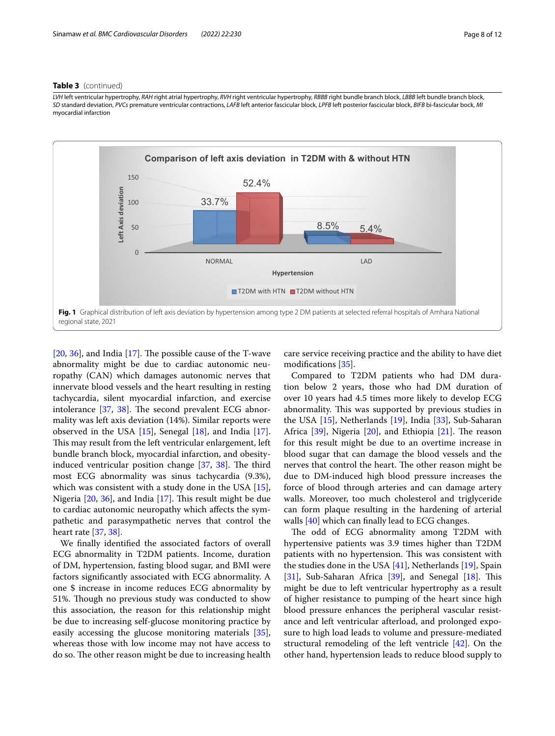### **Table 3** (continued)

*LVH* left ventricular hypertrophy, *RAH* right atrial hypertrophy, *RVH* right ventricular hypertrophy, *RBBB* right bundle branch block, *LBBB* left bundle branch block, *SD* standard deviation, *PVCs* premature ventricular contractions, *LAFB* left anterior fascicular block, *LPFB* left posterior fascicular block, *BIFB* bi-fascicular bock, *MI* myocardial infarction



<span id="page-7-0"></span> $[20, 36]$  $[20, 36]$  $[20, 36]$  $[20, 36]$  $[20, 36]$ , and India  $[17]$  $[17]$ . The possible cause of the T-wave abnormality might be due to cardiac autonomic neuropathy (CAN) which damages autonomic nerves that innervate blood vessels and the heart resulting in resting tachycardia, silent myocardial infarction, and exercise intolerance  $[37, 38]$  $[37, 38]$  $[37, 38]$  $[37, 38]$ . The second prevalent ECG abnormality was left axis deviation (14%). Similar reports were observed in the USA [\[15\]](#page-10-10), Senegal [\[18](#page-10-13)], and India [\[17](#page-10-12)]. This may result from the left ventricular enlargement, left bundle branch block, myocardial infarction, and obesityinduced ventricular position change  $[37, 38]$  $[37, 38]$  $[37, 38]$  $[37, 38]$ . The third most ECG abnormality was sinus tachycardia (9.3%), which was consistent with a study done in the USA [\[15](#page-10-10)], Nigeria  $[20, 36]$  $[20, 36]$  $[20, 36]$ , and India  $[17]$  $[17]$ . This result might be due to cardiac autonomic neuropathy which afects the sympathetic and parasympathetic nerves that control the heart rate [[37,](#page-10-20) [38\]](#page-10-35).

We fnally identifed the associated factors of overall ECG abnormality in T2DM patients. Income, duration of DM, hypertension, fasting blood sugar, and BMI were factors signifcantly associated with ECG abnormality. A one \$ increase in income reduces ECG abnormality by 51%. Though no previous study was conducted to show this association, the reason for this relationship might be due to increasing self-glucose monitoring practice by easily accessing the glucose monitoring materials [\[35](#page-10-33)], whereas those with low income may not have access to do so. The other reason might be due to increasing health care service receiving practice and the ability to have diet modifcations [\[35](#page-10-33)].

Compared to T2DM patients who had DM duration below 2 years, those who had DM duration of over 10 years had 4.5 times more likely to develop ECG abnormality. This was supported by previous studies in the USA [[15\]](#page-10-10), Netherlands [\[19\]](#page-10-14), India [\[33](#page-10-31)], Sub-Saharan Africa  $[39]$  $[39]$ , Nigeria  $[20]$  $[20]$  $[20]$ , and Ethiopia  $[21]$  $[21]$ . The reason for this result might be due to an overtime increase in blood sugar that can damage the blood vessels and the nerves that control the heart. The other reason might be due to DM-induced high blood pressure increases the force of blood through arteries and can damage artery walls. Moreover, too much cholesterol and triglyceride can form plaque resulting in the hardening of arterial walls [[40\]](#page-10-37) which can finally lead to ECG changes.

The odd of ECG abnormality among T2DM with hypertensive patients was 3.9 times higher than T2DM patients with no hypertension. This was consistent with the studies done in the USA [\[41](#page-10-38)], Netherlands [\[19\]](#page-10-14), Spain [[31\]](#page-10-27), Sub-Saharan Africa [[39](#page-10-36)], and Senegal [[18](#page-10-13)]. This might be due to left ventricular hypertrophy as a result of higher resistance to pumping of the heart since high blood pressure enhances the peripheral vascular resistance and left ventricular afterload, and prolonged exposure to high load leads to volume and pressure-mediated structural remodeling of the left ventricle [[42\]](#page-10-39). On the other hand, hypertension leads to reduce blood supply to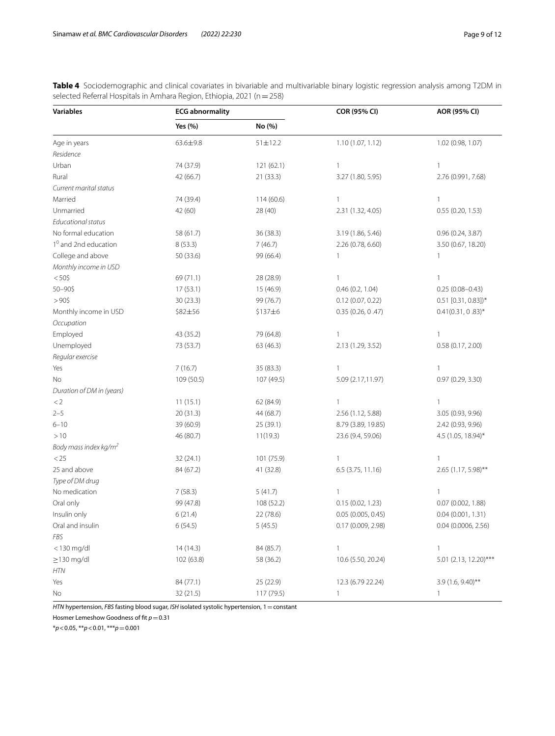<span id="page-8-0"></span>**Table 4** Sociodemographic and clinical covariates in bivariable and multivariable binary logistic regression analysis among T2DM in selected Referral Hospitals in Amhara Region, Ethiopia, 2021 (n=258)

| Variables                         | <b>ECG abnormality</b> |               | COR (95% CI)       | AOR (95% CI)          |
|-----------------------------------|------------------------|---------------|--------------------|-----------------------|
|                                   | Yes (%)                | No (%)        |                    |                       |
| Age in years                      | 63.6±9.8               | $51 \pm 12.2$ | 1.10 (1.07, 1.12)  | 1.02 (0.98, 1.07)     |
| Residence                         |                        |               |                    |                       |
| Urban                             | 74 (37.9)              | 121 (62.1)    | $\mathbf{1}$       | $\mathbf{1}$          |
| Rural                             | 42 (66.7)              | 21 (33.3)     | 3.27 (1.80, 5.95)  | 2.76 (0.991, 7.68)    |
| Current marital status            |                        |               |                    |                       |
| Married                           | 74 (39.4)              | 114(60.6)     | $\mathbf{1}$       | $\mathbf{1}$          |
| Unmarried                         | 42 (60)                | 28 (40)       | 2.31 (1.32, 4.05)  | 0.55(0.20, 1.53)      |
| <b>Educational status</b>         |                        |               |                    |                       |
| No formal education               | 58 (61.7)              | 36 (38.3)     | 3.19 (1.86, 5.46)  | 0.96(0.24, 3.87)      |
| 1 <sup>0</sup> and 2nd education  | 8(53.3)                | 7(46.7)       | 2.26 (0.78, 6.60)  | 3.50 (0.67, 18.20)    |
| College and above                 | 50 (33.6)              | 99 (66.4)     | 1                  | $\mathbf{1}$          |
| Monthly income in USD             |                        |               |                    |                       |
| $< 50$ \$                         | 69 (71.1)              | 28 (28.9)     | 1                  | $\mathbf{1}$          |
| 50-90\$                           | 17(53.1)               | 15 (46.9)     | 0.46(0.2, 1.04)    | $0.25(0.08 - 0.43)$   |
| $>90$ \$                          | 30 (23.3)              | 99 (76.7)     | 0.12(0.07, 0.22)   | $0.51$ [0.31, 0.83])* |
| Monthly income in USD             | \$82±56                | \$137±6       | 0.35(0.26, 0.47)   | $0.41(0.31, 0.83)$ *  |
| Occupation                        |                        |               |                    |                       |
| Employed                          | 43 (35.2)              | 79 (64.8)     | 1                  | $\mathbf{1}$          |
| Unemployed                        | 73 (53.7)              | 63 (46.3)     | 2.13 (1.29, 3.52)  | 0.58(0.17, 2.00)      |
| Regular exercise                  |                        |               |                    |                       |
| Yes                               | 7(16.7)                | 35 (83.3)     | 1                  | $\mathbf{1}$          |
| No                                | 109 (50.5)             | 107 (49.5)    | 5.09 (2.17,11.97)  | 0.97 (0.29, 3.30)     |
| Duration of DM in (years)         |                        |               |                    |                       |
| $<$ 2                             | 11(15.1)               | 62 (84.9)     | 1                  | $\mathbf{1}$          |
| $2 - 5$                           | 20 (31.3)              | 44 (68.7)     | 2.56 (1.12, 5.88)  | 3.05 (0.93, 9.96)     |
| $6 - 10$                          | 39 (60.9)              | 25 (39.1)     | 8.79 (3.89, 19.85) | 2.42 (0.93, 9.96)     |
| >10                               | 46 (80.7)              | 11(19.3)      | 23.6 (9.4, 59.06)  | 4.5 (1.05, 18.94)*    |
| Body mass index kg/m <sup>2</sup> |                        |               |                    |                       |
| < 25                              | 32 (24.1)              | 101 (75.9)    | 1                  | $\mathbf{1}$          |
| 25 and above                      | 84 (67.2)              | 41 (32.8)     | 6.5 (3.75, 11.16)  | 2.65 (1.17, 5.98)**   |
| Type of DM drug                   |                        |               |                    |                       |
| No medication                     | 7(58.3)                | 5(41.7)       | 1                  | $\mathbf{1}$          |
| Oral only                         | 99 (47.8)              | 108 (52.2)    | 0.15(0.02, 1.23)   | 0.07 (0.002, 1.88)    |
| Insulin only                      | 6(21.4)                | 22 (78.6)     | 0.05 (0.005, 0.45) | 0.04(0.001, 1.31)     |
| Oral and insulin                  | 6(54.5)                | 5(45.5)       | 0.17(0.009, 2.98)  | 0.04 (0.0006, 2.56)   |
| FBS                               |                        |               |                    |                       |
| <130 mg/dl                        | 14 (14.3)              | 84 (85.7)     | 1                  | $\mathbf{1}$          |
| $\geq$ 130 mg/dl                  | 102 (63.8)             | 58 (36.2)     | 10.6 (5.50, 20.24) | 5.01 (2.13, 12.20)*** |
| HTN                               |                        |               |                    |                       |
| Yes                               | 84 (77.1)              | 25 (22.9)     | 12.3 (6.79 22.24)  | $3.9(1.6, 9.40)$ **   |
| No                                | 32 (21.5)              | 117 (79.5)    | 1                  | $\mathbf{1}$          |

*HTN* hypertension, *FBS* fasting blood sugar, *ISH* isolated systolic hypertension, 1 = constant

Hosmer Lemeshow Goodness of fit  $p=0.31$ 

\**p*<0.05, \*\**p*<0.01, \*\*\**p*=0.001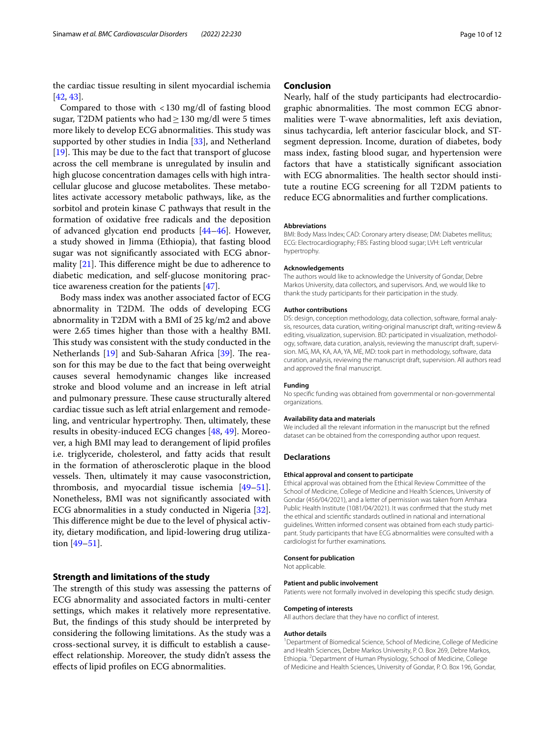the cardiac tissue resulting in silent myocardial ischemia [[42,](#page-10-39) [43](#page-10-40)].

Compared to those with <130 mg/dl of fasting blood sugar, T2DM patients who had  $\geq$  130 mg/dl were 5 times more likely to develop ECG abnormalities. This study was supported by other studies in India [[33\]](#page-10-31), and Netherland [ $19$ ]. This may be due to the fact that transport of glucose across the cell membrane is unregulated by insulin and high glucose concentration damages cells with high intracellular glucose and glucose metabolites. These metabolites activate accessory metabolic pathways, like, as the sorbitol and protein kinase C pathways that result in the formation of oxidative free radicals and the deposition of advanced glycation end products [[44–](#page-10-41)[46](#page-11-0)]. However, a study showed in Jimma (Ethiopia), that fasting blood sugar was not signifcantly associated with ECG abnormality  $[21]$  $[21]$ . This difference might be due to adherence to diabetic medication, and self-glucose monitoring practice awareness creation for the patients [[47\]](#page-11-1).

Body mass index was another associated factor of ECG abnormality in T2DM. The odds of developing ECG abnormality in T2DM with a BMI of 25 kg/m2 and above were 2.65 times higher than those with a healthy BMI. This study was consistent with the study conducted in the Netherlands  $[19]$  $[19]$  and Sub-Saharan Africa  $[39]$  $[39]$  $[39]$ . The reason for this may be due to the fact that being overweight causes several hemodynamic changes like increased stroke and blood volume and an increase in left atrial and pulmonary pressure. These cause structurally altered cardiac tissue such as left atrial enlargement and remodeling, and ventricular hypertrophy. Then, ultimately, these results in obesity-induced ECG changes [[48](#page-11-2), [49](#page-11-3)]. Moreover, a high BMI may lead to derangement of lipid profles i.e. triglyceride, cholesterol, and fatty acids that result in the formation of atherosclerotic plaque in the blood vessels. Then, ultimately it may cause vasoconstriction, thrombosis, and myocardial tissue ischemia [[49](#page-11-3)[–51](#page-11-4)]. Nonetheless, BMI was not signifcantly associated with ECG abnormalities in a study conducted in Nigeria [\[32](#page-10-28)]. This difference might be due to the level of physical activity, dietary modifcation, and lipid-lowering drug utilization [[49–](#page-11-3)[51](#page-11-4)].

## **Strength and limitations of the study**

The strength of this study was assessing the patterns of ECG abnormality and associated factors in multi-center settings, which makes it relatively more representative. But, the fndings of this study should be interpreted by considering the following limitations. As the study was a cross-sectional survey, it is difficult to establish a causeefect relationship. Moreover, the study didn't assess the efects of lipid profles on ECG abnormalities.

## **Conclusion**

Nearly, half of the study participants had electrocardiographic abnormalities. The most common ECG abnormalities were T-wave abnormalities, left axis deviation, sinus tachycardia, left anterior fascicular block, and STsegment depression. Income, duration of diabetes, body mass index, fasting blood sugar, and hypertension were factors that have a statistically signifcant association with ECG abnormalities. The health sector should institute a routine ECG screening for all T2DM patients to reduce ECG abnormalities and further complications.

#### **Abbreviations**

BMI: Body Mass Index; CAD: Coronary artery disease; DM: Diabetes mellitus; ECG: Electrocardiography; FBS: Fasting blood sugar; LVH: Left ventricular hypertrophy.

#### **Acknowledgements**

The authors would like to acknowledge the University of Gondar, Debre Markos University, data collectors, and supervisors. And, we would like to thank the study participants for their participation in the study.

#### **Author contributions**

DS: design, conception methodology, data collection, software, formal analysis, resources, data curation, writing-original manuscript draft, writing-review & editing, visualization, supervision. BD: participated in visualization, methodology, software, data curation, analysis, reviewing the manuscript draft, supervision. MG, MA, KA, AA, YA, ME, MD: took part in methodology, software, data curation, analysis, reviewing the manuscript draft, supervision. All authors read and approved the fnal manuscript.

#### **Funding**

No specifc funding was obtained from governmental or non-governmental organizations.

#### **Availability data and materials**

We included all the relevant information in the manuscript but the refned dataset can be obtained from the corresponding author upon request.

### **Declarations**

#### **Ethical approval and consent to participate**

Ethical approval was obtained from the Ethical Review Committee of the School of Medicine, College of Medicine and Health Sciences, University of Gondar (456/04/2021), and a letter of permission was taken from Amhara Public Health Institute (1081/04/2021). It was confrmed that the study met the ethical and scientifc standards outlined in national and international guidelines. Written informed consent was obtained from each study participant. Study participants that have ECG abnormalities were consulted with a cardiologist for further examinations.

#### **Consent for publication**

Not applicable.

#### **Patient and public involvement**

Patients were not formally involved in developing this specifc study design.

#### **Competing of interests**

All authors declare that they have no confict of interest.

#### **Author details**

<sup>1</sup> Department of Biomedical Science, School of Medicine, College of Medicine and Health Sciences, Debre Markos University, P. O. Box 269, Debre Markos, Ethiopia. <sup>2</sup> Department of Human Physiology, School of Medicine, College of Medicine and Health Sciences, University of Gondar, P. O. Box 196, Gondar,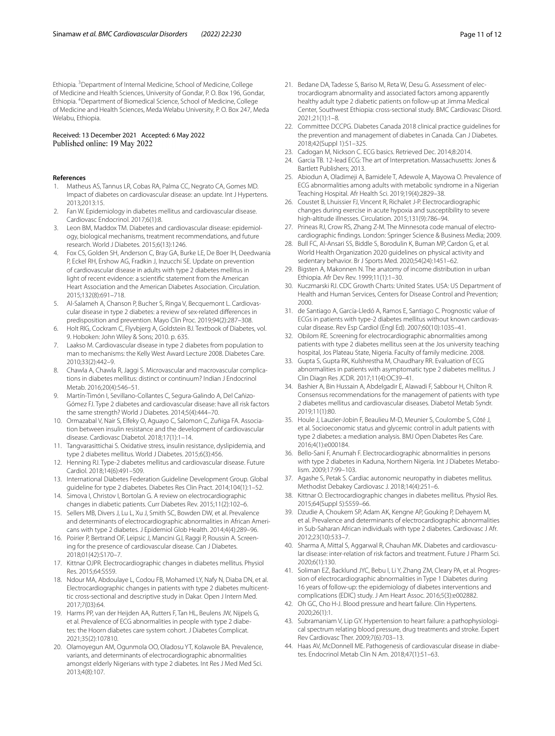Ethiopia. <sup>3</sup> Department of Internal Medicine, School of Medicine, College of Medicine and Health Sciences, University of Gondar, P. O. Box 196, Gondar, Ethiopia. 4 Department of Biomedical Science, School of Medicine, College of Medicine and Health Sciences, Meda Welabu University, P. O. Box 247, Meda Welabu, Ethiopia.

#### Received: 13 December 2021 Accepted: 6 May 2022 Published online: 19 May 2022

#### **References**

- <span id="page-10-0"></span>1. Matheus AS, Tannus LR, Cobas RA, Palma CC, Negrato CA, Gomes MD. Impact of diabetes on cardiovascular disease: an update. Int J Hypertens. 2013;2013:15.
- 2. Fan W. Epidemiology in diabetes mellitus and cardiovascular disease. Cardiovasc Endocrinol. 2017;6(1):8.
- <span id="page-10-4"></span>3. Leon BM, Maddox TM. Diabetes and cardiovascular disease: epidemiology, biological mechanisms, treatment recommendations, and future research. World J Diabetes. 2015;6(13):1246.
- <span id="page-10-1"></span>4. Fox CS, Golden SH, Anderson C, Bray GA, Burke LE, De Boer IH, Deedwania P, Eckel RH, Ershow AG, Fradkin J, Inzucchi SE. Update on prevention of cardiovascular disease in adults with type 2 diabetes mellitus in light of recent evidence: a scientifc statement from the American Heart Association and the American Diabetes Association. Circulation. 2015;132(8):691–718.
- <span id="page-10-2"></span>5. Al-Salameh A, Chanson P, Bucher S, Ringa V, Becquemont L. Cardiovascular disease in type 2 diabetes: a review of sex-related diferences in predisposition and prevention. Mayo Clin Proc. 2019;94(2):287–308.
- <span id="page-10-3"></span>Holt RIG, Cockram C, Flyvbjerg A, Goldstein BJ. Textbook of Diabetes, vol. 9. Hoboken: John Wiley & Sons; 2010. p. 635.
- <span id="page-10-5"></span>7. Laakso M. Cardiovascular disease in type 2 diabetes from population to man to mechanisms: the Kelly West Award Lecture 2008. Diabetes Care. 2010;33(2):442–9.
- <span id="page-10-6"></span>8. Chawla A, Chawla R, Jaggi S. Microvascular and macrovascular complications in diabetes mellitus: distinct or continuum? Indian J Endocrinol Metab. 2016;20(4):546–51.
- <span id="page-10-29"></span>9. Martín-Timón I, Sevillano-Collantes C, Segura-Galindo A, Del Cañizo-Gómez FJ. Type 2 diabetes and cardiovascular disease: have all risk factors the same strength? World J Diabetes. 2014;5(4):444–70.
- 10. Ormazabal V, Nair S, Elfeky O, Aguayo C, Salomon C, Zuñiga FA. Association between insulin resistance and the development of cardiovascular disease. Cardiovasc Diabetol. 2018;17(1):1–14.
- <span id="page-10-30"></span>11. Tangvarasittichai S. Oxidative stress, insulin resistance, dyslipidemia, and type 2 diabetes mellitus. World J Diabetes. 2015;6(3):456.
- <span id="page-10-7"></span>12. Henning RJ. Type-2 diabetes mellitus and cardiovascular disease. Future Cardiol. 2018;14(6):491–509.
- <span id="page-10-8"></span>13. International Diabetes Federation Guideline Development Group. Global guideline for type 2 diabetes. Diabetes Res Clin Pract. 2014;104(1):1–52.
- <span id="page-10-9"></span>14. Simova I, Christov I, Bortolan G. A review on electrocardiographic changes in diabetic patients. Curr Diabetes Rev. 2015;11(2):102–6.
- <span id="page-10-10"></span>15. Sellers MB, Divers J, Lu L, Xu J, Smith SC, Bowden DW, et al. Prevalence and determinants of electrocardiographic abnormalities in African Americans with type 2 diabetes. J Epidemiol Glob Health. 2014;4(4):289–96.
- <span id="page-10-11"></span>16. Poirier P, Bertrand OF, Leipsic J, Mancini GJ, Raggi P, Roussin A. Screening for the presence of cardiovascular disease. Can J Diabetes. 2018;01(42):S170–7.
- <span id="page-10-12"></span>17. Kittnar OJPR. Electrocardiographic changes in diabetes mellitus. Physiol Res. 2015;64:S559.
- <span id="page-10-13"></span>18. Ndour MA, Abdoulaye L, Codou FB, Mohamed LY, Nafy N, Diaba DN, et al. Electrocardiographic changes in patients with type 2 diabetes multicenttic cross-sectional and descriptive study in Dakar. Open J Intern Med. 2017;7(03):64.
- <span id="page-10-14"></span>19. Harms PP, van der Heijden AA, Rutters F, Tan HL, Beulens JW, Nijpels G, et al. Prevalence of ECG abnormalities in people with type 2 diabetes: the Hoorn diabetes care system cohort. J Diabetes Complicat. 2021;35(2):107810.
- <span id="page-10-15"></span>20. Olamoyegun AM, Ogunmola OO, Oladosu YT, Kolawole BA. Prevalence, variants, and determinants of electrocardiographic abnormalities amongst elderly Nigerians with type 2 diabetes. Int Res J Med Med Sci. 2013;4(8):107.
- <span id="page-10-16"></span>21. Bedane DA, Tadesse S, Bariso M, Reta W, Desu G. Assessment of electrocardiogram abnormality and associated factors among apparently healthy adult type 2 diabetic patients on follow-up at Jimma Medical Center, Southwest Ethiopia: cross-sectional study. BMC Cardiovasc Disord. 2021;21(1):1–8.
- <span id="page-10-17"></span>22. Committee DCCPG. Diabetes Canada 2018 clinical practice guidelines for the prevention and management of diabetes in Canada. Can J Diabetes. 2018;42(Suppl 1):S1–325.
- <span id="page-10-18"></span>23. Cadogan M, Nickson C. ECG basics. Retrieved Dec. 2014;8:2014.
- <span id="page-10-19"></span>24. Garcia TB. 12-lead ECG: The art of Interpretation. Massachusetts: Jones & Bartlett Publishers; 2013.
- <span id="page-10-21"></span>25. Abiodun A, Oladimeji A, Bamidele T, Adewole A, Mayowa O. Prevalence of ECG abnormalities among adults with metabolic syndrome in a Nigerian Teaching Hospital. Afr Health Sci. 2019;19(4):2829–38.
- <span id="page-10-22"></span>26. Coustet B, Lhuissier FJ, Vincent R, Richalet J-P. Electrocardiographic changes during exercise in acute hypoxia and susceptibility to severe high-altitude illnesses. Circulation. 2015;131(9):786–94.
- <span id="page-10-23"></span>27. Prineas RJ, Crow RS, Zhang Z-M. The Minnesota code manual of electrocardiographic fndings. London: Springer Science & Business Media; 2009.
- <span id="page-10-24"></span>28. Bull FC, Al-Ansari SS, Biddle S, Borodulin K, Buman MP, Cardon G, et al. World Health Organization 2020 guidelines on physical activity and sedentary behavior. Br J Sports Med. 2020;54(24):1451–62.
- <span id="page-10-25"></span>29. Bigsten A, Makonnen N. The anatomy of income distribution in urban Ethiopia. Afr Dev Rev. 1999;11(1):1–30.
- <span id="page-10-26"></span>30. Kuczmarski RJ. CDC Growth Charts: United States. USA: US Department of Health and Human Services, Centers for Disease Control and Prevention; 2000.
- <span id="page-10-27"></span>31. de Santiago A, García-Lledó A, Ramos E, Santiago C. Prognostic value of ECGs in patients with type-2 diabetes mellitus without known cardiovascular disease. Rev Esp Cardiol (Engl Ed). 2007;60(10):1035–41.
- <span id="page-10-28"></span>32. Obilom RE. Screening for electrocardiographic abnormalities among patients with type 2 diabetes mellitus seen at the Jos university teaching hospital, Jos Plateau State, Nigeria. Faculty of family medicine. 2008.
- <span id="page-10-31"></span>33. Gupta S, Gupta RK, Kulshrestha M, Chaudhary RR. Evaluation of ECG abnormalities in patients with asymptomatic type 2 diabetes mellitus. J Clin Diagn Res JCDR. 2017;11(4):OC39–41.
- <span id="page-10-32"></span>34. Bashier A, Bin Hussain A, Abdelgadir E, Alawadi F, Sabbour H, Chilton R. Consensus recommendations for the management of patients with type 2 diabetes mellitus and cardiovascular diseases. Diabetol Metab Syndr. 2019;11(1):80.
- <span id="page-10-33"></span>35. Houle J, Lauzier-Jobin F, Beaulieu M-D, Meunier S, Coulombe S, Côté J, et al. Socioeconomic status and glycemic control in adult patients with type 2 diabetes: a mediation analysis. BMJ Open Diabetes Res Care. 2016;4(1):e000184.
- <span id="page-10-34"></span>36. Bello-Sani F, Anumah F. Electrocardiographic abnormalities in persons with type 2 diabetes in Kaduna, Northern Nigeria. Int J Diabetes Metabolism. 2009;17:99–103.
- <span id="page-10-20"></span>37. Agashe S, Petak S. Cardiac autonomic neuropathy in diabetes mellitus. Methodist Debakey Cardiovasc J. 2018;14(4):251–6.
- <span id="page-10-35"></span>38. Kittnar O. Electrocardiographic changes in diabetes mellitus. Physiol Res. 2015;64(Suppl 5):S559–66.
- <span id="page-10-36"></span>39. Dzudie A, Choukem SP, Adam AK, Kengne AP, Gouking P, Dehayem M, et al. Prevalence and determinants of electrocardiographic abnormalities in Sub-Saharan African individuals with type 2 diabetes. Cardiovasc J Afr. 2012;23(10):533–7.
- <span id="page-10-37"></span>40. Sharma A, Mittal S, Aggarwal R, Chauhan MK. Diabetes and cardiovascular disease: inter-relation of risk factors and treatment. Future J Pharm Sci. 2020;6(1):130.
- <span id="page-10-38"></span>41. Soliman EZ, Backlund JYC, Bebu I, Li Y, Zhang ZM, Cleary PA, et al. Progression of electrocardiographic abnormalities in Type 1 Diabetes during 16 years of follow-up: the epidemiology of diabetes interventions and complications (EDIC) study. J Am Heart Assoc. 2016;5(3):e002882.
- <span id="page-10-39"></span>42. Oh GC, Cho H-J. Blood pressure and heart failure. Clin Hypertens. 2020;26(1):1.
- <span id="page-10-40"></span>43. Subramaniam V, Lip GY. Hypertension to heart failure: a pathophysiological spectrum relating blood pressure, drug treatments and stroke. Expert Rev Cardiovasc Ther. 2009;7(6):703–13.
- <span id="page-10-41"></span>44. Haas AV, McDonnell ME. Pathogenesis of cardiovascular disease in diabetes. Endocrinol Metab Clin N Am. 2018;47(1):51–63.